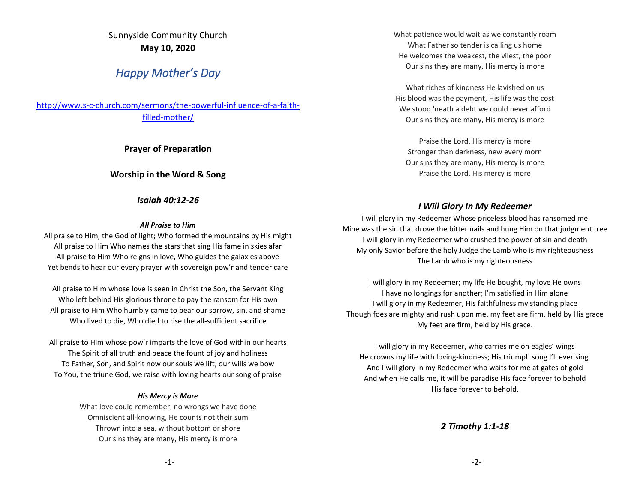Sunnyside Community Church **May 10, 2020**

# *Happy Mother's Day*

[http://www.s-c-church.com/sermons/the-powerful-influence-of-a-faith](http://www.s-c-church.com/sermons/the-powerful-influence-of-a-faith-filled-mother/)[filled-mother/](http://www.s-c-church.com/sermons/the-powerful-influence-of-a-faith-filled-mother/)

**Prayer of Preparation**

## **Worship in the Word & Song**

## *Isaiah 40:12-26*

#### *All Praise to Him*

All praise to Him, the God of light; Who formed the mountains by His might All praise to Him Who names the stars that sing His fame in skies afar All praise to Him Who reigns in love, Who guides the galaxies above Yet bends to hear our every prayer with sovereign pow'r and tender care

All praise to Him whose love is seen in Christ the Son, the Servant King Who left behind His glorious throne to pay the ransom for His own All praise to Him Who humbly came to bear our sorrow, sin, and shame Who lived to die, Who died to rise the all-sufficient sacrifice

All praise to Him whose pow'r imparts the love of God within our hearts The Spirit of all truth and peace the fount of joy and holiness To Father, Son, and Spirit now our souls we lift, our wills we bow To You, the triune God, we raise with loving hearts our song of praise

#### *His Mercy is More*

What love could remember, no wrongs we have done Omniscient all-knowing, He counts not their sum Thrown into a sea, without bottom or shore Our sins they are many, His mercy is more

What patience would wait as we constantly roam What Father so tender is calling us home He welcomes the weakest, the vilest, the poor Our sins they are many, His mercy is more

What riches of kindness He lavished on us His blood was the payment, His life was the cost We stood 'neath a debt we could never afford Our sins they are many, His mercy is more

Praise the Lord, His mercy is more Stronger than darkness, new every morn Our sins they are many, His mercy is more Praise the Lord, His mercy is more

#### *I Will Glory In My Redeemer*

I will glory in my Redeemer Whose priceless blood has ransomed me Mine was the sin that drove the bitter nails and hung Him on that judgment tree I will glory in my Redeemer who crushed the power of sin and death My only Savior before the holy Judge the Lamb who is my righteousness The Lamb who is my righteousness

I will glory in my Redeemer; my life He bought, my love He owns I have no longings for another; I'm satisfied in Him alone I will glory in my Redeemer, His faithfulness my standing place Though foes are mighty and rush upon me, my feet are firm, held by His grace My feet are firm, held by His grace.

I will glory in my Redeemer, who carries me on eagles' wings He crowns my life with loving-kindness; His triumph song I'll ever sing. And I will glory in my Redeemer who waits for me at gates of gold And when He calls me, it will be paradise His face forever to behold His face forever to behold.

## *2 Timothy 1:1-18*

-1- -2-